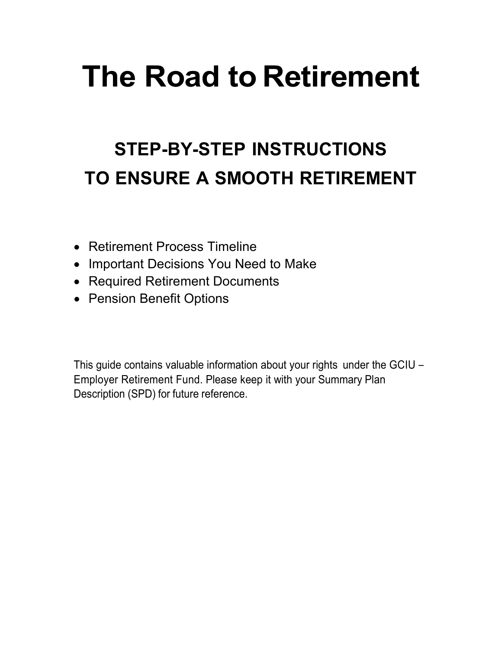# **The Road to Retirement**

# **STEP-BY-STEP INSTRUCTIONS TO ENSURE A SMOOTH RETIREMENT**

- Retirement Process Timeline
- Important Decisions You Need to Make
- Required Retirement Documents
- Pension Benefit Options

This guide contains valuable information about your rights under the GCIU – Employer Retirement Fund. Please keep it with your Summary Plan Description (SPD) for future reference.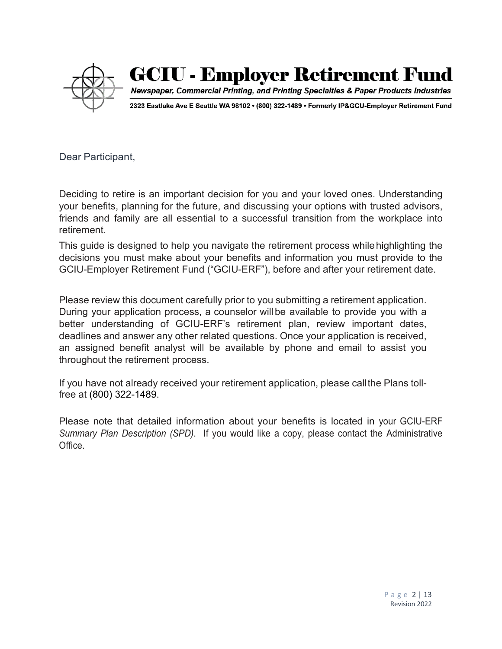

# **GCIU - Employer Retirement Fund**

Newspaper, Commercial Printing, and Printing Specialties & Paper Products Industries

2323 Eastlake Ave E Seattle WA 98102 . (800) 322-1489 . Formerly IP&GCU-Employer Retirement Fund

Dear Participant,

Deciding to retire is an important decision for you and your loved ones. Understanding your benefits, planning for the future, and discussing your options with trusted advisors, friends and family are all essential to a successful transition from the workplace into retirement.

This guide is designed to help you navigate the retirement process whilehighlighting the decisions you must make about your benefits and information you must provide to the GCIU-Employer Retirement Fund ("GCIU-ERF"), before and after your retirement date.

Please review this document carefully prior to you submitting a retirement application. During your application process, a counselor willbe available to provide you with a better understanding of GCIU-ERF's retirement plan, review important dates, deadlines and answer any other related questions. Once your application is received, an assigned benefit analyst will be available by phone and email to assist you throughout the retirement process.

If you have not already received your retirement application, please callthe Plans tollfree at (800) 322-1489.

Please note that detailed information about your benefits is located in your GCIU-ERF *Summary Plan Description (SPD)*. If you would like a copy, please contact the Administrative Office.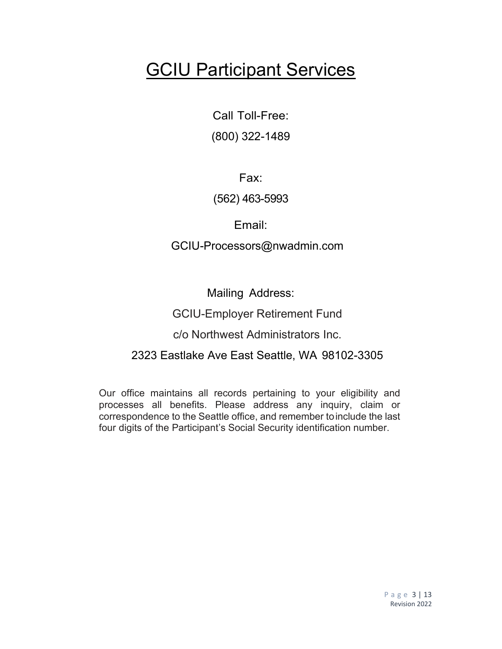# **GCIU Participant Services**

Call Toll-Free: (800) 322-1489

Fax:

#### (562) 463-5993

Email:

GCIU-Processors@nwadmin.com

Mailing Address:

### GCIU-Employer Retirement Fund

c/o Northwest Administrators Inc.

## 2323 Eastlake Ave East Seattle, WA 98102-3305

Our office maintains all records pertaining to your eligibility and processes all benefits. Please address any inquiry, claim or correspondence to the Seattle office, and remember toinclude the last four digits of the Participant's Social Security identification number.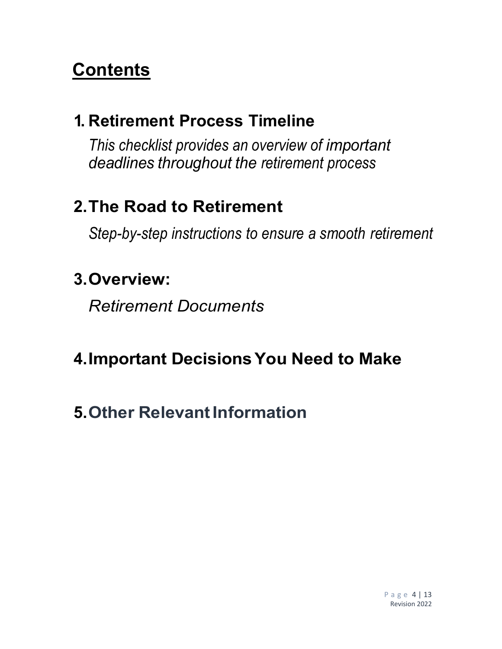# **Contents**

# **1. Retirement Process Timeline**

*This checklist provides an overview of important deadlines throughout the retirement process*

# **2.The Road to Retirement**

*Step-by-step instructions to ensure a smooth retirement*

## **3.Overview:**

*Retirement Documents*

# **4.Important DecisionsYou Need to Make**

# **5.Other RelevantInformation**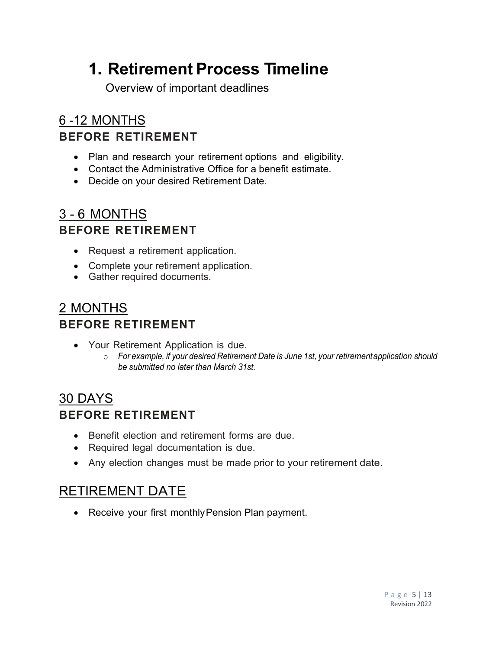# **1. Retirement Process Timeline**

Overview of important deadlines

## 6 -12 MONTHS **BEFORE RETIREMENT**

- Plan and research your retirement options and eligibility.
- Contact the Administrative Office for a benefit estimate.
- Decide on your desired Retirement Date.

## 3 - 6 MONTHS **BEFORE RETIREMENT**

- Request a retirement application.
- Complete your retirement application.
- Gather required documents.

## 2 MONTHS **BEFORE RETIREMENT**

- Your Retirement Application is due.
	- o *For example, if your desired Retirement Date is June 1st, your retirementapplication should be submitted no later than March 31st.*

## 30 DAYS **BEFORE RETIREMENT**

- Benefit election and retirement forms are due.
- Required legal documentation is due.
- Any election changes must be made prior to your retirement date.

## RETIREMENT DATE

• Receive your first monthly Pension Plan payment.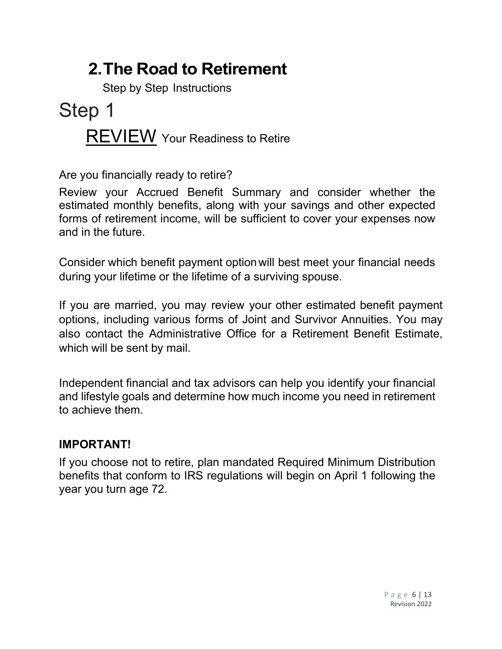# **2.The Road to Retirement**

Step by Step Instructions

# Step 1 **REVIEW** Your Readiness to Retire

Are you financially ready to retire?

Review your Accrued Benefit Summary and consider whether the estimated monthly benefits, along with your savings and other expected forms of retirement income, will be sufficient to cover your expenses now and in the future.

Consider which benefit payment optionwill best meet your financial needs during your lifetime or the lifetime of a surviving spouse.

If you are married, you may review your other estimated benefit payment options, including various forms of Joint and Survivor Annuities. You may also contact the Administrative Office for a Retirement Benefit Estimate, which will be sent by mail.

Independent financial and tax advisors can help you identify your financial and lifestyle goals and determine how much income you need in retirement to achieve them.

## **IMPORTANT!**

If you choose not to retire, plan mandated Required Minimum Distribution benefits that conform to IRS regulations will begin on April 1 following the year you turn age 72.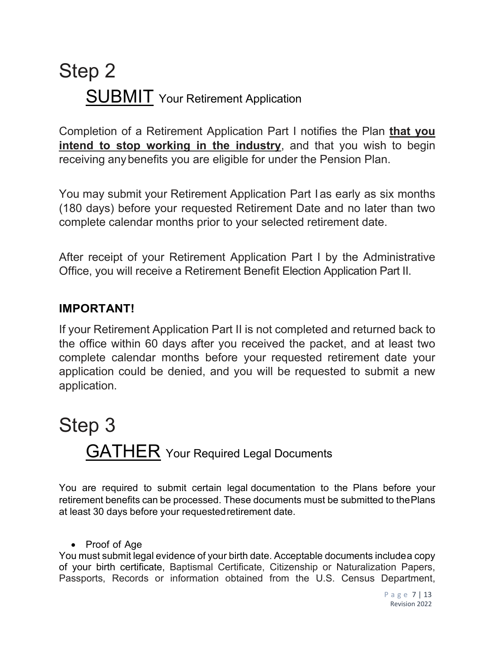# Step 2 SUBMIT Your Retirement Application

Completion of a Retirement Application Part I notifies the Plan **that you intend to stop working in the industry**, and that you wish to begin receiving anybenefits you are eligible for under the Pension Plan.

You may submit your Retirement Application Part I as early as six months (180 days) before your requested Retirement Date and no later than two complete calendar months prior to your selected retirement date.

After receipt of your Retirement Application Part I by the Administrative Office, you will receive a Retirement Benefit Election Application Part II.

### **IMPORTANT!**

If your Retirement Application Part II is not completed and returned back to the office within 60 days after you received the packet, and at least two complete calendar months before your requested retirement date your application could be denied, and you will be requested to submit a new application.

# Step 3 **GATHER** Your Required Legal Documents

You are required to submit certain legal documentation to the Plans before your retirement benefits can be processed. These documents must be submitted to thePlans at least 30 days before your requestedretirement date.

#### • Proof of Age

You must submit legal evidence of your birth date. Acceptable documents includea copy of your birth certificate, Baptismal Certificate, Citizenship or Naturalization Papers, Passports, Records or information obtained from the U.S. Census Department,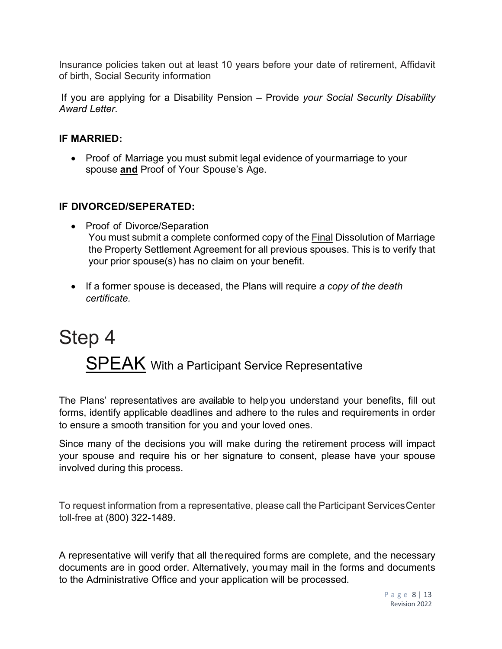Insurance policies taken out at least 10 years before your date of retirement, Affidavit of birth, Social Security information

If you are applying for a Disability Pension – Provide *your Social Security Disability Award Letter*.

#### **IF MARRIED:**

• Proof of Marriage you must submit legal evidence of your marriage to your spouse **and** Proof of Your Spouse's Age.

#### **IF DIVORCED/SEPERATED:**

- Proof of Divorce/Separation You must submit a complete conformed copy of the Final Dissolution of Marriage the Property Settlement Agreement for all previous spouses. This is to verify that your prior spouse(s) has no claim on your benefit.
- If a former spouse is deceased, the Plans will require *a copy of the death certificate.*

# Step 4 SPEAK With a Participant Service Representative

The Plans' representatives are available to help you understand your benefits, fill out forms, identify applicable deadlines and adhere to the rules and requirements in order to ensure a smooth transition for you and your loved ones.

Since many of the decisions you will make during the retirement process will impact your spouse and require his or her signature to consent, please have your spouse involved during this process.

To request information from a representative, please call the Participant Services Center toll-free at (800) 322-1489.

A representative will verify that all therequired forms are complete, and the necessary documents are in good order. Alternatively, youmay mail in the forms and documents to the Administrative Office and your application will be processed.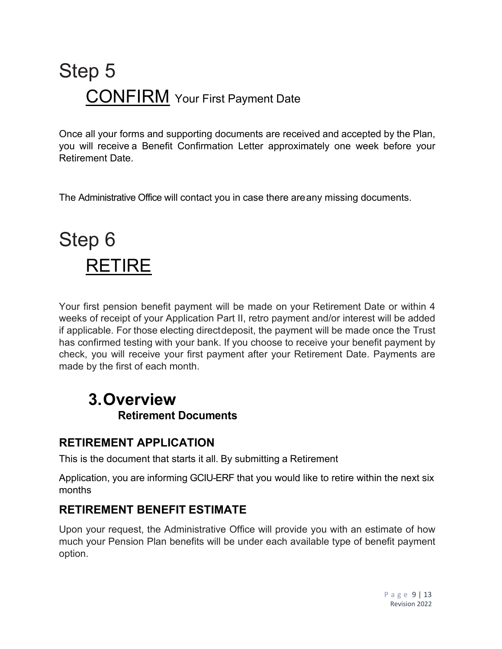# Step 5 **CONFIRM** Your First Payment Date

Once all your forms and supporting documents are received and accepted by the Plan, you will receive a Benefit Confirmation Letter approximately one week before your Retirement Date.

The Administrative Office will contact you in case there areany missing documents.

# Step 6 RETIRE

Your first pension benefit payment will be made on your Retirement Date or within 4 weeks of receipt of your Application Part II, retro payment and/or interest will be added if applicable. For those electing directdeposit, the payment will be made once the Trust has confirmed testing with your bank. If you choose to receive your benefit payment by check, you will receive your first payment after your Retirement Date. Payments are made by the first of each month.

## **3. Overview Retirement Documents**

## **RETIREMENT APPLICATION**

This is the document that starts it all. By submitting a Retirement

Application, you are informing GCIU-ERF that you would like to retire within the next six months

## **RETIREMENT BENEFIT ESTIMATE**

Upon your request, the Administrative Office will provide you with an estimate of how much your Pension Plan benefits will be under each available type of benefit payment option.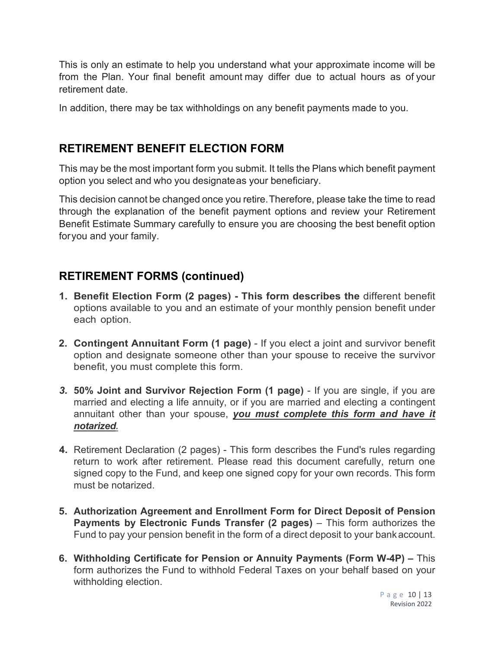This is only an estimate to help you understand what your approximate income will be from the Plan. Your final benefit amount may differ due to actual hours as of your retirement date.

In addition, there may be tax withholdings on any benefit payments made to you.

### **RETIREMENT BENEFIT ELECTION FORM**

This may be the most important form you submit. It tells the Plans which benefit payment option you select and who you designateas your beneficiary.

This decision cannot be changed once you retire.Therefore, please take the time to read through the explanation of the benefit payment options and review your Retirement Benefit Estimate Summary carefully to ensure you are choosing the best benefit option foryou and your family.

## **RETIREMENT FORMS (continued)**

- **1. Benefit Election Form (2 pages) This form describes the** different benefit options available to you and an estimate of your monthly pension benefit under each option.
- **2. Contingent Annuitant Form (1 page)**  If you elect a joint and survivor benefit option and designate someone other than your spouse to receive the survivor benefit, you must complete this form.
- *3.* **50% Joint and Survivor Rejection Form (1 page)**  If you are single, if you are married and electing a life annuity, or if you are married and electing a contingent annuitant other than your spouse, *you must complete this form and have it notarized.*
- **4.** Retirement Declaration (2 pages) This form describes the Fund's rules regarding return to work after retirement. Please read this document carefully, return one signed copy to the Fund, and keep one signed copy for your own records. This form must be notarized.
- **5. Authorization Agreement and Enrollment Form for Direct Deposit of Pension Payments by Electronic Funds Transfer (2 pages)** – This form authorizes the Fund to pay your pension benefit in the form of a direct deposit to your bankaccount.
- **6. Withholding Certificate for Pension or Annuity Payments (Form W-4P)** This form authorizes the Fund to withhold Federal Taxes on your behalf based on your withholding election.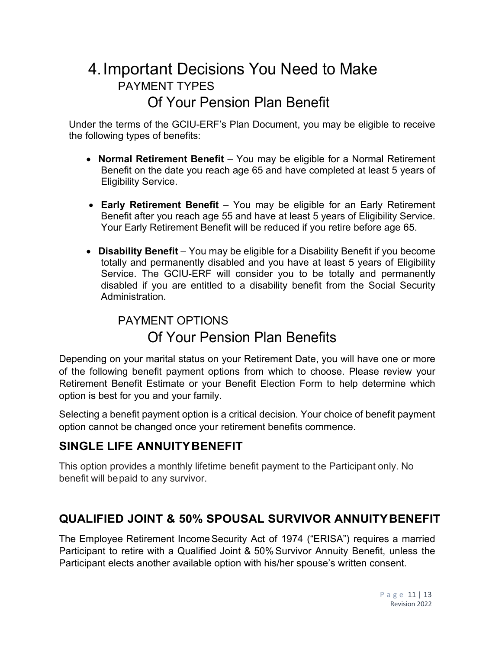## 4.Important Decisions You Need to Make PAYMENT TYPES Of Your Pension Plan Benefit

Under the terms of the GCIU-ERF's Plan Document, you may be eligible to receive the following types of benefits:

- **Normal Retirement Benefit**  You may be eligible for a Normal Retirement Benefit on the date you reach age 65 and have completed at least 5 years of Eligibility Service.
- **Early Retirement Benefit**  You may be eligible for an Early Retirement Benefit after you reach age 55 and have at least 5 years of Eligibility Service. Your Early Retirement Benefit will be reduced if you retire before age 65.
- **Disability Benefit** You may be eligible for a Disability Benefit if you become totally and permanently disabled and you have at least 5 years of Eligibility Service. The GCIU-ERF will consider you to be totally and permanently disabled if you are entitled to a disability benefit from the Social Security Administration.

## PAYMENT OPTIONS Of Your Pension Plan Benefits

Depending on your marital status on your Retirement Date, you will have one or more of the following benefit payment options from which to choose. Please review your Retirement Benefit Estimate or your Benefit Election Form to help determine which option is best for you and your family.

Selecting a benefit payment option is a critical decision. Your choice of benefit payment option cannot be changed once your retirement benefits commence.

## **SINGLE LIFE ANNUITYBENEFIT**

This option provides a monthly lifetime benefit payment to the Participant only. No benefit will bepaid to any survivor.

## **QUALIFIED JOINT & 50% SPOUSAL SURVIVOR ANNUITYBENEFIT**

The Employee Retirement Income Security Act of 1974 ("ERISA") requires a married Participant to retire with a Qualified Joint & 50% Survivor Annuity Benefit, unless the Participant elects another available option with his/her spouse's written consent.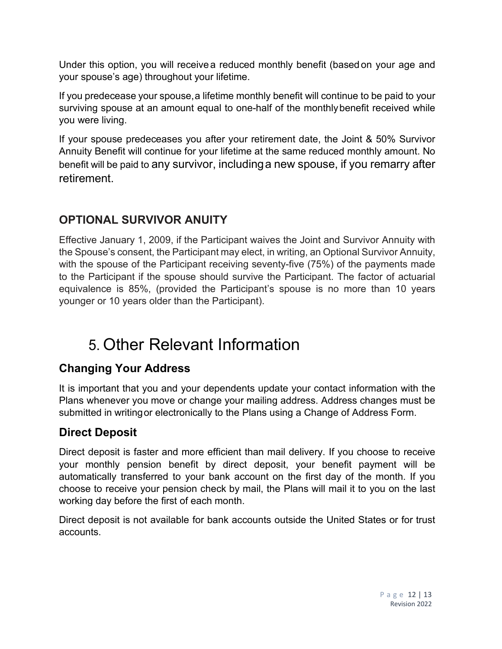Under this option, you will receive a reduced monthly benefit (based on your age and your spouse's age) throughout your lifetime.

If you predecease your spouse,a lifetime monthly benefit will continue to be paid to your surviving spouse at an amount equal to one-half of the monthlybenefit received while you were living.

If your spouse predeceases you after your retirement date, the Joint & 50% Survivor Annuity Benefit will continue for your lifetime at the same reduced monthly amount. No benefit will be paid to any survivor, includinga new spouse, if you remarry after retirement.

## **OPTIONAL SURVIVOR ANUITY**

Effective January 1, 2009, if the Participant waives the Joint and Survivor Annuity with the Spouse's consent, the Participant may elect, in writing, an Optional Survivor Annuity, with the spouse of the Participant receiving seventy-five (75%) of the payments made to the Participant if the spouse should survive the Participant. The factor of actuarial equivalence is 85%, (provided the Participant's spouse is no more than 10 years younger or 10 years older than the Participant).

# 5. Other Relevant Information

## **Changing Your Address**

It is important that you and your dependents update your contact information with the Plans whenever you move or change your mailing address. Address changes must be submitted in writingor electronically to the Plans using a Change of Address Form.

## **Direct Deposit**

Direct deposit is faster and more efficient than mail delivery. If you choose to receive your monthly pension benefit by direct deposit, your benefit payment will be automatically transferred to your bank account on the first day of the month. If you choose to receive your pension check by mail, the Plans will mail it to you on the last working day before the first of each month.

Direct deposit is not available for bank accounts outside the United States or for trust accounts.